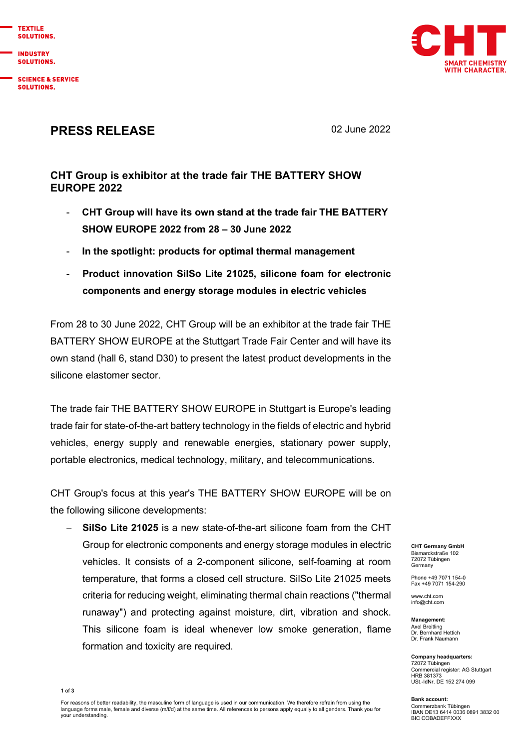

**INDUSTRY** SOLUTIONS.

**SCIENCE & SERVICE** SOLUTIONS.



## PRESS RELEASE 02 June 2022

## CHT Group is exhibitor at the trade fair THE BATTERY SHOW EUROPE 2022

- CHT Group will have its own stand at the trade fair THE BATTERY SHOW EUROPE 2022 from 28 – 30 June 2022
- In the spotlight: products for optimal thermal management
- Product innovation SilSo Lite 21025, silicone foam for electronic components and energy storage modules in electric vehicles

From 28 to 30 June 2022, CHT Group will be an exhibitor at the trade fair THE BATTERY SHOW EUROPE at the Stuttgart Trade Fair Center and will have its own stand (hall 6, stand D30) to present the latest product developments in the silicone elastomer sector.

The trade fair THE BATTERY SHOW EUROPE in Stuttgart is Europe's leading trade fair for state-of-the-art battery technology in the fields of electric and hybrid vehicles, energy supply and renewable energies, stationary power supply, portable electronics, medical technology, military, and telecommunications.

CHT Group's focus at this year's THE BATTERY SHOW EUROPE will be on the following silicone developments:

 SilSo Lite 21025 is a new state-of-the-art silicone foam from the CHT Group for electronic components and energy storage modules in electric vehicles. It consists of a 2-component silicone, self-foaming at room temperature, that forms a closed cell structure. SilSo Lite 21025 meets criteria for reducing weight, eliminating thermal chain reactions ("thermal runaway") and protecting against moisture, dirt, vibration and shock. This silicone foam is ideal whenever low smoke generation, flame formation and toxicity are required.

CHT Germany GmbH Bismarckstraße 102 72072 Tübingen Germany

Phone +49 7071 154-0 Fax +49 7071 154-290

www.cht.com info@cht.com

Management: Axel Breitling Dr. Bernhard Hettich Dr. Frank Naumann

Company headquarters: 72072 Tübingen Commercial register: AG Stuttgart HRB 381373 USt.-IdNr. DE 152 274 099

Bank account: Commerzbank Tübingen IBAN DE13 6414 0036 0891 3832 00 BIC COBADEFFXXX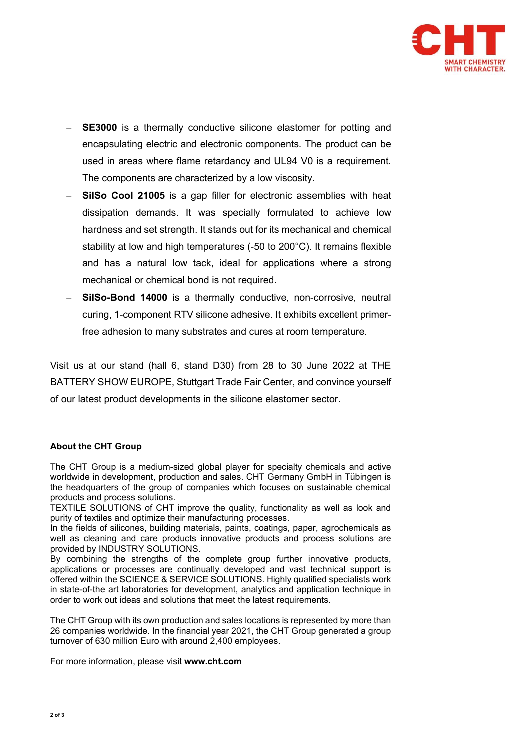

- SE3000 is a thermally conductive silicone elastomer for potting and encapsulating electric and electronic components. The product can be used in areas where flame retardancy and UL94 V0 is a requirement. The components are characterized by a low viscosity.
- SilSo Cool 21005 is a gap filler for electronic assemblies with heat dissipation demands. It was specially formulated to achieve low hardness and set strength. It stands out for its mechanical and chemical stability at low and high temperatures (-50 to 200°C). It remains flexible and has a natural low tack, ideal for applications where a strong mechanical or chemical bond is not required.
- SilSo-Bond 14000 is a thermally conductive, non-corrosive, neutral curing, 1-component RTV silicone adhesive. It exhibits excellent primerfree adhesion to many substrates and cures at room temperature.

Visit us at our stand (hall 6, stand D30) from 28 to 30 June 2022 at THE BATTERY SHOW EUROPE, Stuttgart Trade Fair Center, and convince yourself of our latest product developments in the silicone elastomer sector.

## About the CHT Group

The CHT Group is a medium-sized global player for specialty chemicals and active worldwide in development, production and sales. CHT Germany GmbH in Tübingen is the headquarters of the group of companies which focuses on sustainable chemical products and process solutions.

TEXTILE SOLUTIONS of CHT improve the quality, functionality as well as look and purity of textiles and optimize their manufacturing processes.

In the fields of silicones, building materials, paints, coatings, paper, agrochemicals as well as cleaning and care products innovative products and process solutions are provided by INDUSTRY SOLUTIONS.

By combining the strengths of the complete group further innovative products, applications or processes are continually developed and vast technical support is offered within the SCIENCE & SERVICE SOLUTIONS. Highly qualified specialists work in state-of-the art laboratories for development, analytics and application technique in order to work out ideas and solutions that meet the latest requirements.

The CHT Group with its own production and sales locations is represented by more than 26 companies worldwide. In the financial year 2021, the CHT Group generated a group turnover of 630 million Euro with around 2,400 employees.

For more information, please visit www.cht.com